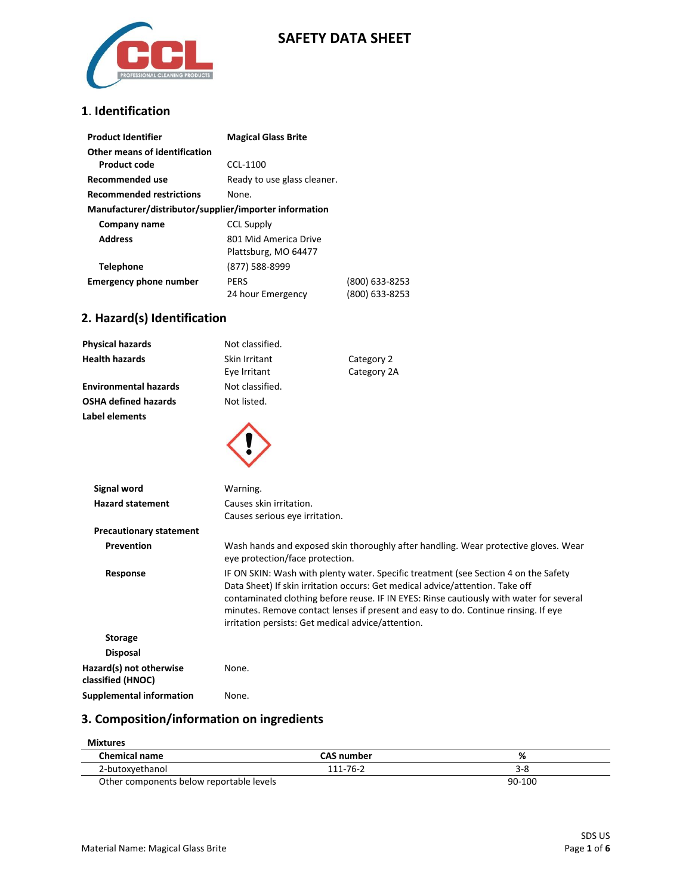

## **SAFETY DATA SHEET**

#### **1**. **Identification**

| <b>Product Identifier</b>                              | <b>Magical Glass Brite</b>  |                |
|--------------------------------------------------------|-----------------------------|----------------|
| Other means of identification                          |                             |                |
| <b>Product code</b>                                    | CCL-1100                    |                |
| Recommended use                                        | Ready to use glass cleaner. |                |
| <b>Recommended restrictions</b>                        | None.                       |                |
| Manufacturer/distributor/supplier/importer information |                             |                |
| Company name                                           | <b>CCL Supply</b>           |                |
| <b>Address</b>                                         | 801 Mid America Drive       |                |
|                                                        | Plattsburg, MO 64477        |                |
| <b>Telephone</b>                                       | (877) 588-8999              |                |
| <b>Emergency phone number</b>                          | <b>PERS</b>                 | (800) 633-8253 |
|                                                        | 24 hour Emergency           | (800) 633-8253 |

## **2. Hazard(s) Identification**

| <b>Physical hazards</b>                      | Not classified.                                    |                                                                                                                                                                                                                                                                                                                                                       |
|----------------------------------------------|----------------------------------------------------|-------------------------------------------------------------------------------------------------------------------------------------------------------------------------------------------------------------------------------------------------------------------------------------------------------------------------------------------------------|
| <b>Health hazards</b>                        | Skin Irritant                                      | Category 2                                                                                                                                                                                                                                                                                                                                            |
|                                              | Eye Irritant                                       | Category 2A                                                                                                                                                                                                                                                                                                                                           |
| <b>Environmental hazards</b>                 | Not classified.                                    |                                                                                                                                                                                                                                                                                                                                                       |
| <b>OSHA defined hazards</b>                  | Not listed.                                        |                                                                                                                                                                                                                                                                                                                                                       |
| Label elements                               |                                                    |                                                                                                                                                                                                                                                                                                                                                       |
|                                              |                                                    |                                                                                                                                                                                                                                                                                                                                                       |
| <b>Signal word</b>                           | Warning.                                           |                                                                                                                                                                                                                                                                                                                                                       |
| <b>Hazard statement</b>                      | Causes skin irritation.                            |                                                                                                                                                                                                                                                                                                                                                       |
|                                              | Causes serious eye irritation.                     |                                                                                                                                                                                                                                                                                                                                                       |
| <b>Precautionary statement</b>               |                                                    |                                                                                                                                                                                                                                                                                                                                                       |
| Prevention                                   | eye protection/face protection.                    | Wash hands and exposed skin thoroughly after handling. Wear protective gloves. Wear                                                                                                                                                                                                                                                                   |
| Response                                     | irritation persists: Get medical advice/attention. | IF ON SKIN: Wash with plenty water. Specific treatment (see Section 4 on the Safety<br>Data Sheet) If skin irritation occurs: Get medical advice/attention. Take off<br>contaminated clothing before reuse. IF IN EYES: Rinse cautiously with water for several<br>minutes. Remove contact lenses if present and easy to do. Continue rinsing. If eye |
| <b>Storage</b>                               |                                                    |                                                                                                                                                                                                                                                                                                                                                       |
| <b>Disposal</b>                              |                                                    |                                                                                                                                                                                                                                                                                                                                                       |
| Hazard(s) not otherwise<br>classified (HNOC) | None.                                              |                                                                                                                                                                                                                                                                                                                                                       |

**Supplemental information** None.

## **3. Composition/information on ingredients**

| Mixtures                                 |                   |         |
|------------------------------------------|-------------------|---------|
| <b>Chemical name</b>                     | <b>CAS</b> number | %       |
| 2-butoxyethanol                          | 111-76-2          | $3 - 8$ |
| Other components below reportable levels |                   | 90-100  |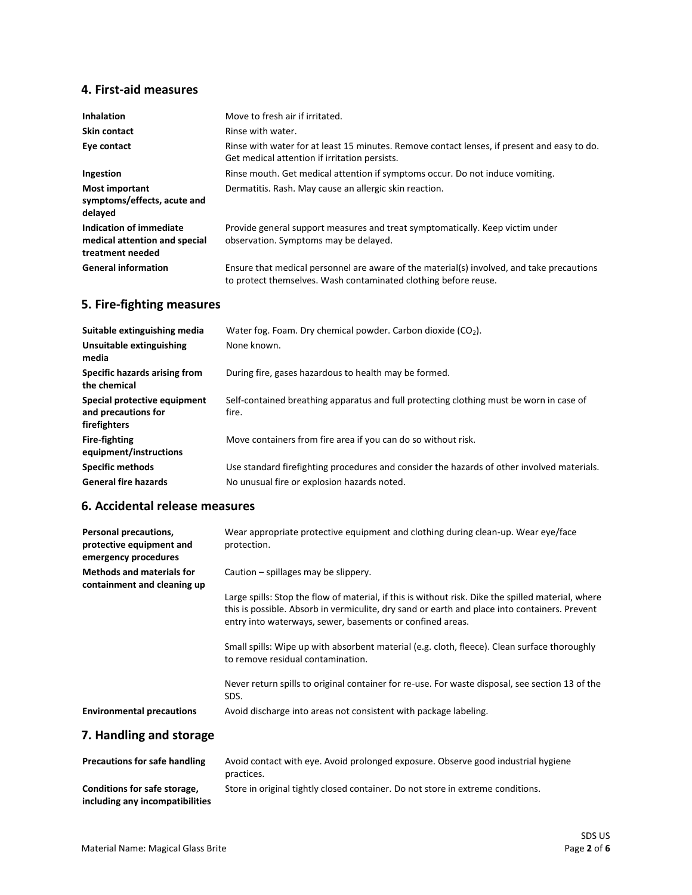## **4. First-aid measures**

| <b>Inhalation</b>                                                            | Move to fresh air if irritated.                                                                                                                              |
|------------------------------------------------------------------------------|--------------------------------------------------------------------------------------------------------------------------------------------------------------|
| <b>Skin contact</b>                                                          | Rinse with water.                                                                                                                                            |
| Eye contact                                                                  | Rinse with water for at least 15 minutes. Remove contact lenses, if present and easy to do.<br>Get medical attention if irritation persists.                 |
| Ingestion                                                                    | Rinse mouth. Get medical attention if symptoms occur. Do not induce vomiting.                                                                                |
| <b>Most important</b><br>symptoms/effects, acute and<br>delayed              | Dermatitis. Rash. May cause an allergic skin reaction.                                                                                                       |
| Indication of immediate<br>medical attention and special<br>treatment needed | Provide general support measures and treat symptomatically. Keep victim under<br>observation. Symptoms may be delayed.                                       |
| <b>General information</b>                                                   | Ensure that medical personnel are aware of the material(s) involved, and take precautions<br>to protect themselves. Wash contaminated clothing before reuse. |

## **5. Fire-fighting measures**

| Suitable extinguishing media                                        | Water fog. Foam. Dry chemical powder. Carbon dioxide (CO <sub>2</sub> ).                         |
|---------------------------------------------------------------------|--------------------------------------------------------------------------------------------------|
| Unsuitable extinguishing<br>media                                   | None known.                                                                                      |
| Specific hazards arising from<br>the chemical                       | During fire, gases hazardous to health may be formed.                                            |
| Special protective equipment<br>and precautions for<br>firefighters | Self-contained breathing apparatus and full protecting clothing must be worn in case of<br>fire. |
| <b>Fire-fighting</b><br>equipment/instructions                      | Move containers from fire area if you can do so without risk.                                    |
| <b>Specific methods</b>                                             | Use standard firefighting procedures and consider the hazards of other involved materials.       |
| <b>General fire hazards</b>                                         | No unusual fire or explosion hazards noted.                                                      |
|                                                                     |                                                                                                  |

### **6. Accidental release measures**

| Personal precautions,<br>protective equipment and<br>emergency procedures | Wear appropriate protective equipment and clothing during clean-up. Wear eye/face<br>protection.                                                                                                                                                                 |
|---------------------------------------------------------------------------|------------------------------------------------------------------------------------------------------------------------------------------------------------------------------------------------------------------------------------------------------------------|
| <b>Methods and materials for</b><br>containment and cleaning up           | Caution $-$ spillages may be slippery.                                                                                                                                                                                                                           |
|                                                                           | Large spills: Stop the flow of material, if this is without risk. Dike the spilled material, where<br>this is possible. Absorb in vermiculite, dry sand or earth and place into containers. Prevent<br>entry into waterways, sewer, basements or confined areas. |
|                                                                           | Small spills: Wipe up with absorbent material (e.g. cloth, fleece). Clean surface thoroughly<br>to remove residual contamination.                                                                                                                                |
|                                                                           | Never return spills to original container for re-use. For waste disposal, see section 13 of the<br>SDS.                                                                                                                                                          |
| <b>Environmental precautions</b>                                          | Avoid discharge into areas not consistent with package labeling.                                                                                                                                                                                                 |
| 7. Handling and storage                                                   |                                                                                                                                                                                                                                                                  |

| <b>Precautions for safe handling</b>                            | Avoid contact with eye. Avoid prolonged exposure. Observe good industrial hygiene<br>practices. |
|-----------------------------------------------------------------|-------------------------------------------------------------------------------------------------|
| Conditions for safe storage,<br>including any incompatibilities | Store in original tightly closed container. Do not store in extreme conditions.                 |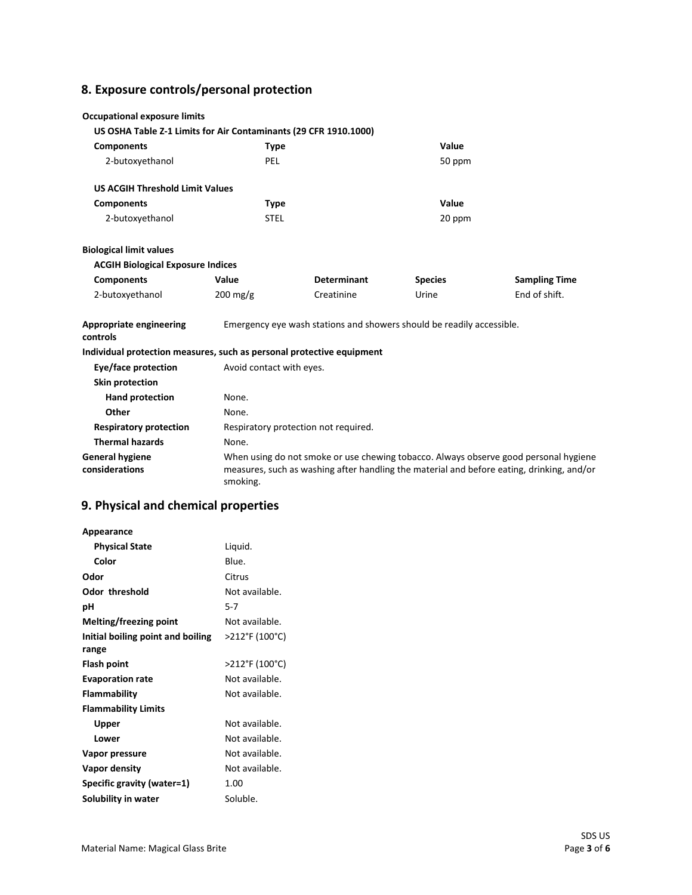# **8. Exposure controls/personal protection**

| <b>Occupational exposure limits</b>                                   |                          |                                                                       |                |                                                                                                                                                                                   |
|-----------------------------------------------------------------------|--------------------------|-----------------------------------------------------------------------|----------------|-----------------------------------------------------------------------------------------------------------------------------------------------------------------------------------|
| US OSHA Table Z-1 Limits for Air Contaminants (29 CFR 1910.1000)      |                          |                                                                       |                |                                                                                                                                                                                   |
| <b>Components</b>                                                     | <b>Type</b>              |                                                                       | Value          |                                                                                                                                                                                   |
| 2-butoxyethanol                                                       | PEL                      |                                                                       | 50 ppm         |                                                                                                                                                                                   |
| <b>US ACGIH Threshold Limit Values</b>                                |                          |                                                                       |                |                                                                                                                                                                                   |
| <b>Components</b>                                                     | <b>Type</b>              |                                                                       | Value          |                                                                                                                                                                                   |
| 2-butoxyethanol                                                       | <b>STEL</b>              |                                                                       | 20 ppm         |                                                                                                                                                                                   |
| <b>Biological limit values</b>                                        |                          |                                                                       |                |                                                                                                                                                                                   |
| <b>ACGIH Biological Exposure Indices</b>                              |                          |                                                                       |                |                                                                                                                                                                                   |
| <b>Components</b>                                                     | Value                    | <b>Determinant</b>                                                    | <b>Species</b> | <b>Sampling Time</b>                                                                                                                                                              |
| 2-butoxyethanol                                                       | 200 mg/g                 | Creatinine                                                            | Urine          | End of shift.                                                                                                                                                                     |
| <b>Appropriate engineering</b><br>controls                            |                          | Emergency eye wash stations and showers should be readily accessible. |                |                                                                                                                                                                                   |
| Individual protection measures, such as personal protective equipment |                          |                                                                       |                |                                                                                                                                                                                   |
| Eye/face protection                                                   | Avoid contact with eyes. |                                                                       |                |                                                                                                                                                                                   |
| Skin protection                                                       |                          |                                                                       |                |                                                                                                                                                                                   |
| <b>Hand protection</b>                                                | None.                    |                                                                       |                |                                                                                                                                                                                   |
| Other                                                                 | None.                    |                                                                       |                |                                                                                                                                                                                   |
| <b>Respiratory protection</b>                                         |                          | Respiratory protection not required.                                  |                |                                                                                                                                                                                   |
| <b>Thermal hazards</b>                                                | None.                    |                                                                       |                |                                                                                                                                                                                   |
| <b>General hygiene</b><br>considerations                              | smoking.                 |                                                                       |                | When using do not smoke or use chewing tobacco. Always observe good personal hygiene<br>measures, such as washing after handling the material and before eating, drinking, and/or |

# **9. Physical and chemical properties**

| Appearance                        |                |
|-----------------------------------|----------------|
| <b>Physical State</b>             | Liquid.        |
| Color                             | Blue.          |
| Odor                              | Citrus         |
| Odor threshold                    | Not available. |
| рH                                | 5-7            |
| Melting/freezing point            | Not available. |
| Initial boiling point and boiling | >212°F (100°C) |
| range                             |                |
| Flash point                       | >212°F (100°C) |
| <b>Evaporation rate</b>           | Not available. |
| Flammability                      | Not available. |
| <b>Flammability Limits</b>        |                |
| Upper                             | Not available. |
| Lower                             | Not available. |
| Vapor pressure                    | Not available. |
| Vapor density                     | Not available. |
| Specific gravity (water=1)        | 1.00           |
| Solubility in water               | Soluble.       |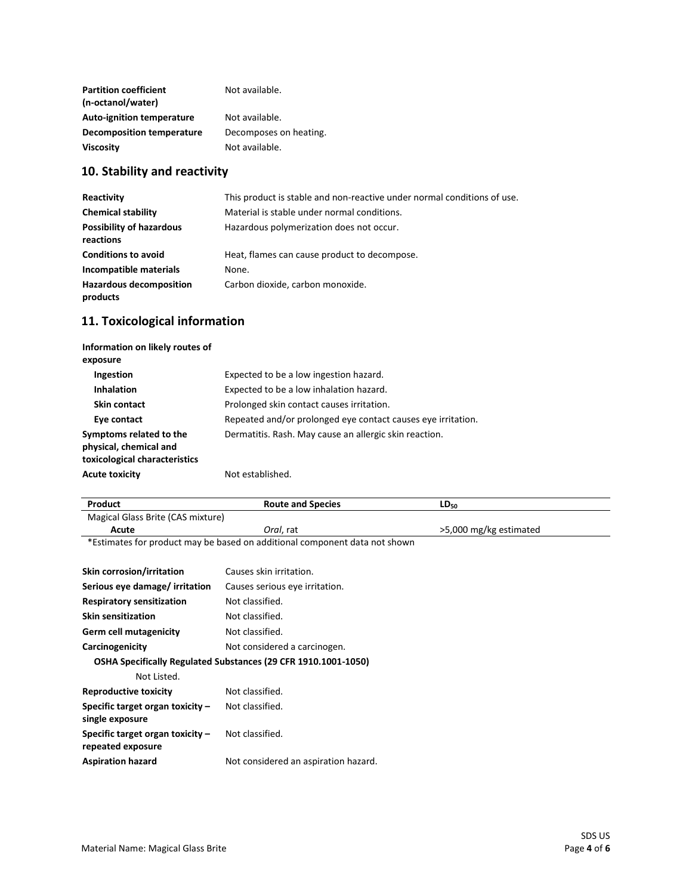| <b>Partition coefficient</b><br>(n-octanol/water) | Not available.         |
|---------------------------------------------------|------------------------|
| <b>Auto-ignition temperature</b>                  | Not available.         |
| <b>Decomposition temperature</b>                  | Decomposes on heating. |
| <b>Viscosity</b>                                  | Not available.         |

# **10. Stability and reactivity**

| Reactivity                                   | This product is stable and non-reactive under normal conditions of use. |
|----------------------------------------------|-------------------------------------------------------------------------|
| <b>Chemical stability</b>                    | Material is stable under normal conditions.                             |
| <b>Possibility of hazardous</b><br>reactions | Hazardous polymerization does not occur.                                |
| <b>Conditions to avoid</b>                   | Heat, flames can cause product to decompose.                            |
| Incompatible materials                       | None.                                                                   |
| <b>Hazardous decomposition</b><br>products   | Carbon dioxide, carbon monoxide.                                        |

# **11. Toxicological information**

| Information on likely routes of<br>exposure                                        |                                                              |
|------------------------------------------------------------------------------------|--------------------------------------------------------------|
| Ingestion                                                                          | Expected to be a low ingestion hazard.                       |
| <b>Inhalation</b>                                                                  | Expected to be a low inhalation hazard.                      |
| <b>Skin contact</b>                                                                | Prolonged skin contact causes irritation.                    |
| Eye contact                                                                        | Repeated and/or prolonged eye contact causes eye irritation. |
| Symptoms related to the<br>physical, chemical and<br>toxicological characteristics | Dermatitis. Rash. May cause an allergic skin reaction.       |
| <b>Acute toxicity</b>                                                              | Not established.                                             |

| Magical Glass Brite (CAS mixture) | Product | <b>Route and Species</b> | $LD_{50}$              |
|-----------------------------------|---------|--------------------------|------------------------|
|                                   |         |                          |                        |
|                                   | Acute   | <i>Oral.</i> rat         | >5,000 mg/kg estimated |

\*Estimates for product may be based on additional component data not shown

| <b>Skin corrosion/irritation</b>                      | Causes skin irritation.                                        |
|-------------------------------------------------------|----------------------------------------------------------------|
| Serious eye damage/ irritation                        | Causes serious eye irritation.                                 |
| <b>Respiratory sensitization</b>                      | Not classified.                                                |
| <b>Skin sensitization</b>                             | Not classified.                                                |
| Germ cell mutagenicity                                | Not classified.                                                |
| Carcinogenicity                                       | Not considered a carcinogen.                                   |
|                                                       | OSHA Specifically Regulated Substances (29 CFR 1910.1001-1050) |
| Not Listed.                                           |                                                                |
| Reproductive toxicity                                 | Not classified.                                                |
| Specific target organ toxicity -<br>single exposure   | Not classified.                                                |
| Specific target organ toxicity -<br>repeated exposure | Not classified.                                                |
| <b>Aspiration hazard</b>                              | Not considered an aspiration hazard.                           |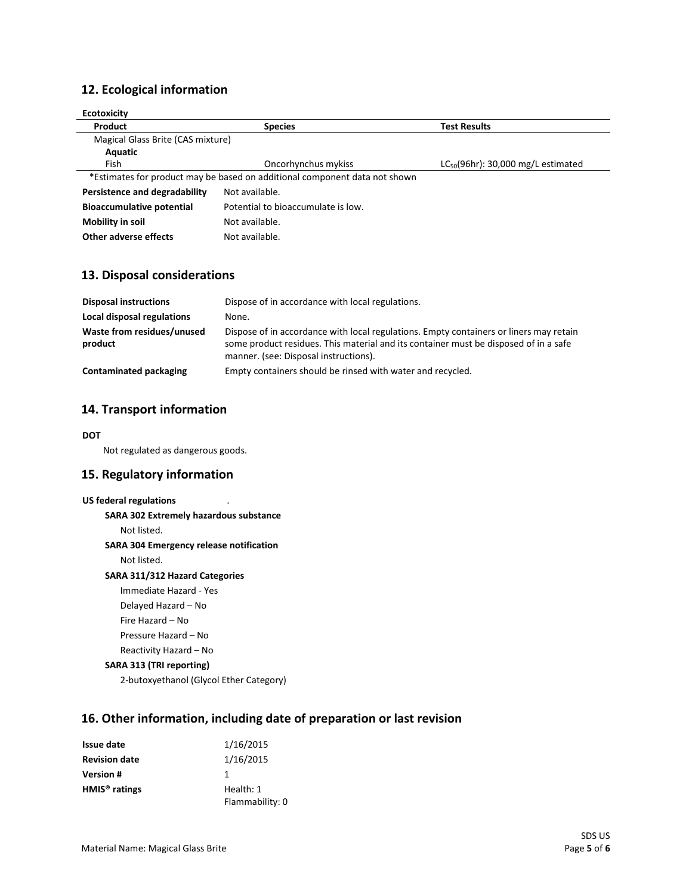## **12. Ecological information**

| <b>Ecotoxicity</b>                                                         |                                    |                                         |
|----------------------------------------------------------------------------|------------------------------------|-----------------------------------------|
| Product                                                                    | <b>Species</b>                     | <b>Test Results</b>                     |
| Magical Glass Brite (CAS mixture)                                          |                                    |                                         |
| Aquatic                                                                    |                                    |                                         |
| Fish                                                                       | Oncorhynchus mykiss                | $LC_{50}(96hr)$ : 30,000 mg/L estimated |
| *Estimates for product may be based on additional component data not shown |                                    |                                         |
| Persistence and degradability                                              | Not available.                     |                                         |
| <b>Bioaccumulative potential</b>                                           | Potential to bioaccumulate is low. |                                         |
| Mobility in soil                                                           | Not available.                     |                                         |
| Other adverse effects                                                      | Not available.                     |                                         |

### **13. Disposal considerations**

| <b>Disposal instructions</b>          | Dispose of in accordance with local regulations.                                                                                                                                                                        |
|---------------------------------------|-------------------------------------------------------------------------------------------------------------------------------------------------------------------------------------------------------------------------|
| Local disposal regulations            | None.                                                                                                                                                                                                                   |
| Waste from residues/unused<br>product | Dispose of in accordance with local regulations. Empty containers or liners may retain<br>some product residues. This material and its container must be disposed of in a safe<br>manner. (see: Disposal instructions). |
| Contaminated packaging                | Empty containers should be rinsed with water and recycled.                                                                                                                                                              |

### **14. Transport information**

#### **DOT**

Not regulated as dangerous goods.

### **15. Regulatory information**

#### **US federal regulations**

**SARA 302 Extremely hazardous substance**

Not listed.

#### **SARA 304 Emergency release notification**

Not listed.

#### **SARA 311/312 Hazard Categories**

Immediate Hazard - Yes Delayed Hazard – No Fire Hazard – No

Pressure Hazard – No

#### Reactivity Hazard – No **SARA 313 (TRI reporting)**

2-butoxyethanol (Glycol Ether Category)

## **16. Other information, including date of preparation or last revision**

| <b>Issue date</b>         | 1/16/2015       |
|---------------------------|-----------------|
| <b>Revision date</b>      | 1/16/2015       |
| <b>Version #</b>          | 1               |
| HMIS <sup>®</sup> ratings | Health: 1       |
|                           | Flammability: 0 |